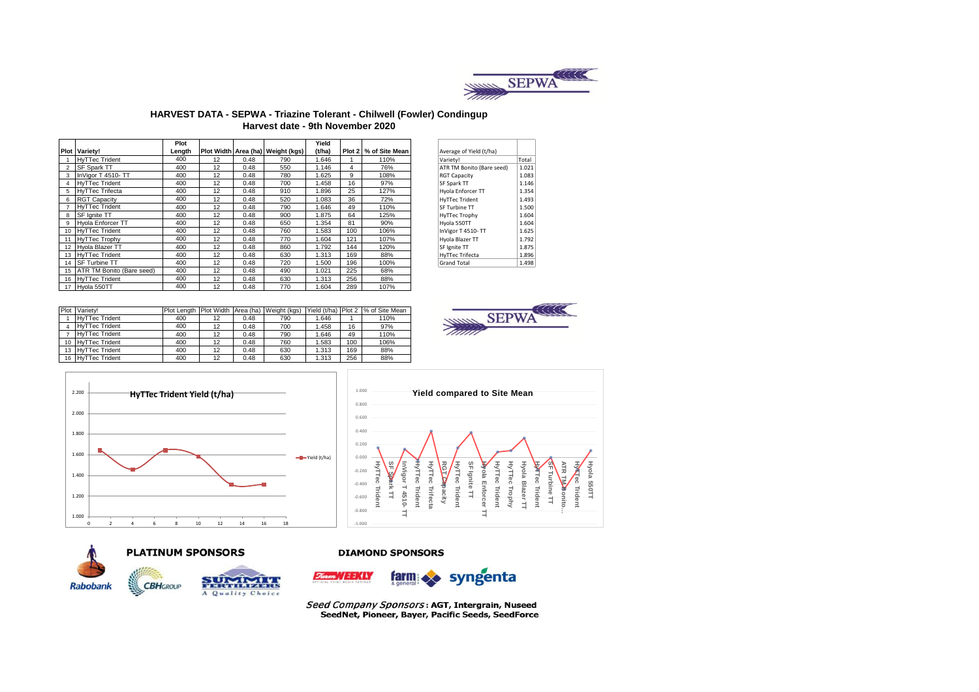

### HARVEST DATA - SEPWA - Triazine Tolerant - Chilwell (Fowler) Condingup Harvest date - 9th November 2020

|    |                           | Plot   |    |      |                                   | Yield  |     |                         |
|----|---------------------------|--------|----|------|-----------------------------------|--------|-----|-------------------------|
|    | Plot Variety!             | Length |    |      | Plot Width Area (ha) Weight (kgs) | (t/ha) |     | Plot 2   % of Site Mean |
|    | <b>HyTTec Trident</b>     | 400    | 12 | 0.48 | 790                               | 1.646  |     | 110%                    |
| 2  | <b>SF Spark TT</b>        | 400    | 12 | 0.48 | 550                               | 1.146  | 4   | 76%                     |
| 3  | InVigor T 4510-TT         | 400    | 12 | 0.48 | 780                               | 1.625  | 9   | 108%                    |
| 4  | <b>HvTTec Trident</b>     | 400    | 12 | 0.48 | 700                               | 1.458  | 16  | 97%                     |
| 5. | <b>HvTTec Trifecta</b>    | 400    | 12 | 0.48 | 910                               | 1.896  | 25  | 127%                    |
| 6  | <b>RGT Capacity</b>       | 400    | 12 | 0.48 | 520                               | 1.083  | 36  | 72%                     |
| 7  | <b>HvTTec Trident</b>     | 400    | 12 | 0.48 | 790                               | 1.646  | 49  | 110%                    |
| 8  | SF lanite TT              | 400    | 12 | 0.48 | 900                               | 1.875  | 64  | 125%                    |
| 9  | <b>Hyola Enforcer TT</b>  | 400    | 12 | 0.48 | 650                               | 1.354  | 81  | 90%                     |
| 10 | <b>HvTTec Trident</b>     | 400    | 12 | 0.48 | 760                               | 1.583  | 100 | 106%                    |
| 11 | <b>HvTTec Trophy</b>      | 400    | 12 | 0.48 | 770                               | 1.604  | 121 | 107%                    |
| 12 | <b>Hvola Blazer TT</b>    | 400    | 12 | 0.48 | 860                               | 1.792  | 144 | 120%                    |
| 13 | <b>HvTTec Trident</b>     | 400    | 12 | 0.48 | 630                               | 1.313  | 169 | 88%                     |
| 14 | <b>SF Turbine TT</b>      | 400    | 12 | 0.48 | 720                               | 1.500  | 196 | 100%                    |
| 15 | ATR TM Bonito (Bare seed) | 400    | 12 | 0.48 | 490                               | 1.021  | 225 | 68%                     |
| 16 | <b>HvTTec Trident</b>     | 400    | 12 | 0.48 | 630                               | 1.313  | 256 | 88%                     |
| 17 | Hvola 550TT               | 400    | 12 | 0.48 | 770                               | 1.604  | 289 | 107%                    |

| Plot | Variety!              |     |    |      | Plot Length Plot Width Area (ha) Weight (kgs) |       |     | Yield (t/ha) Plot 2  % of Site Mean |
|------|-----------------------|-----|----|------|-----------------------------------------------|-------|-----|-------------------------------------|
|      | <b>HyTTec Trident</b> | 400 | 12 | 0.48 | 790                                           | 1.646 |     | 110%                                |
|      | <b>HyTTec Trident</b> | 400 | 12 | 0.48 | 700                                           | 1.458 | 16  | 97%                                 |
|      | <b>HyTTec Trident</b> | 400 | 12 | 0.48 | 790                                           | 1.646 | 49  | 110%                                |
|      | 10 HyTTec Trident     | 400 | 12 | 0.48 | 760                                           | 1.583 | 100 | 106%                                |
| 13   | <b>HyTTec Trident</b> | 400 | 12 | 0.48 | 630                                           | 1.313 | 169 | 88%                                 |
| 16   | <b>HyTTec Trident</b> | 400 | 12 | 0.48 | 630                                           | 1.313 | 256 | 88%                                 |

| Average of Yield (t/ha)   |       |
|---------------------------|-------|
| Variety!                  | Total |
| ATR TM Bonito (Bare seed) | 1.021 |
| <b>RGT Capacity</b>       | 1.083 |
| SF Spark TT               | 1.146 |
| Hyola Enforcer TT         | 1.354 |
| <b>HyTTec Trident</b>     | 1.493 |
| SF Turbine TT             | 1.500 |
| <b>HyTTec Trophy</b>      | 1.604 |
| Hyola 550TT               | 1.604 |
| InVigor T 4510-TT         | 1.625 |
| Hyola Blazer TT           | 1.792 |
| SF Ignite TT              | 1.875 |
| <b>HyTTec Trifecta</b>    | 1.896 |
| <b>Grand Total</b>        | 1.498 |









## **PLATINUM SPONSORS**

**CBHGROUP** 



#### **DIAMOND SPONSORS**



Seed Company Sponsors: AGT, Intergrain, Nuseed SeedNet, Pioneer, Bayer, Pacific Seeds, SeedForce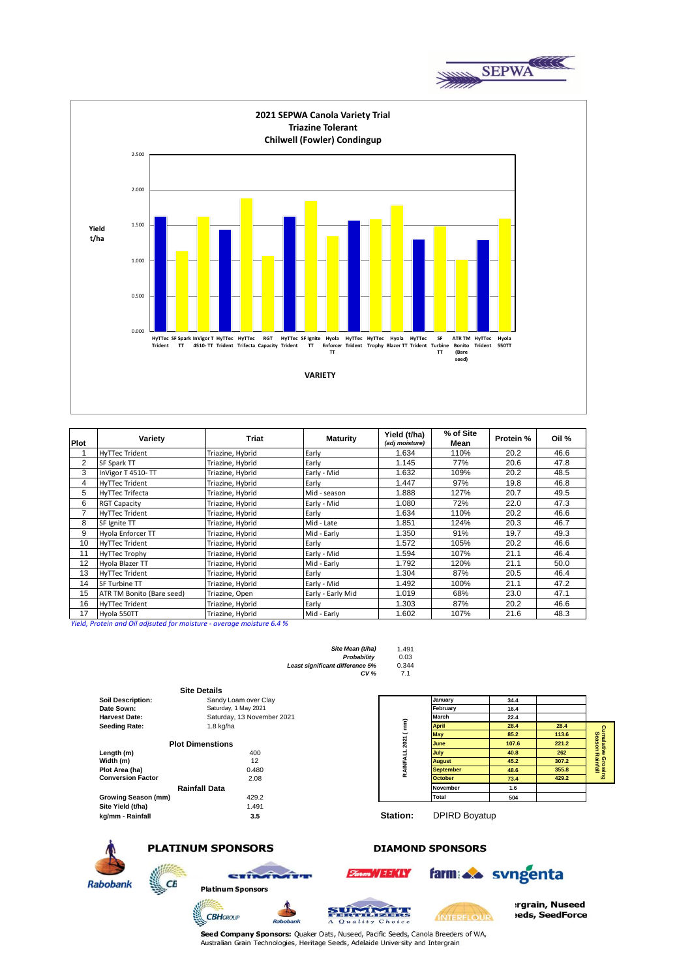



| Plot           | Variety                   | Triat            | <b>Maturity</b>   | Yield (t/ha)<br>(adj moisture) | % of Site<br>Mean | Protein % | Oil % |
|----------------|---------------------------|------------------|-------------------|--------------------------------|-------------------|-----------|-------|
|                | <b>HyTTec Trident</b>     | Triazine, Hybrid | Early             | 1.634                          | 110%              | 20.2      | 46.6  |
| $\overline{2}$ | SF Spark TT               | Triazine, Hybrid | Early             | 1.145                          | 77%               | 20.6      | 47.8  |
| 3              | InVigor T 4510-TT         | Triazine, Hybrid | Early - Mid       | 1.632                          | 109%              | 20.2      | 48.5  |
| 4              | <b>HyTTec Trident</b>     | Triazine, Hybrid | Early             | 1.447                          | 97%               | 19.8      | 46.8  |
| 5              | <b>HyTTec Trifecta</b>    | Triazine, Hybrid | Mid - season      | 1.888                          | 127%              | 20.7      | 49.5  |
| 6              | <b>RGT Capacity</b>       | Triazine, Hybrid | Early - Mid       | 1.080                          | 72%               | 22.0      | 47.3  |
|                | <b>HyTTec Trident</b>     | Triazine, Hybrid | Early             | 1.634                          | 110%              | 20.2      | 46.6  |
| 8              | SF Ignite TT              | Triazine, Hybrid | Mid - Late        | 1.851                          | 124%              | 20.3      | 46.7  |
| 9              | Hyola Enforcer TT         | Triazine, Hybrid | Mid - Early       | 1.350                          | 91%               | 19.7      | 49.3  |
| 10             | <b>HyTTec Trident</b>     | Triazine, Hybrid | Early             | 1.572                          | 105%              | 20.2      | 46.6  |
| 11             | <b>HyTTec Trophy</b>      | Triazine, Hybrid | Early - Mid       | 1.594                          | 107%              | 21.1      | 46.4  |
| 12             | Hvola Blazer TT           | Triazine, Hybrid | Mid - Early       | 1.792                          | 120%              | 21.1      | 50.0  |
| 13             | <b>HyTTec Trident</b>     | Triazine, Hybrid | Early             | 1.304                          | 87%               | 20.5      | 46.4  |
| 14             | SF Turbine TT             | Triazine, Hybrid | Early - Mid       | 1.492                          | 100%              | 21.1      | 47.2  |
| 15             | ATR TM Bonito (Bare seed) | Triazine, Open   | Early - Early Mid | 1.019                          | 68%               | 23.0      | 47.1  |
| 16             | <b>HyTTec Trident</b>     | Triazine, Hybrid | Early             | 1.303                          | 87%               | 20.2      | 46.6  |
| 17             | Hyola 550TT               | Triazine, Hybrid | Mid - Early       | 1.602                          | 107%              | 21.6      | 48.3  |

*Yield, Protein and Oil adjsuted for moisture - average moisture 6.4 %*



|                          | <b>Site Details</b>        |          |                      |       |       |                                       |
|--------------------------|----------------------------|----------|----------------------|-------|-------|---------------------------------------|
| <b>Soil Description:</b> | Sandy Loam over Clay       |          | <b>January</b>       | 34.4  |       |                                       |
| Date Sown:               | Saturday, 1 May 2021       |          | February             | 16.4  |       |                                       |
| <b>Harvest Date:</b>     | Saturday, 13 November 2021 |          | March                | 22.4  |       |                                       |
| <b>Seeding Rate:</b>     | $1.8$ kg/ha                | ε        | <b>April</b>         | 28.4  | 28.4  |                                       |
|                          |                            |          | <b>May</b>           | 85.2  | 113.6 |                                       |
|                          | <b>Plot Dimenstions</b>    | 202      | <b>June</b>          | 107.6 | 221.2 | Cumulative Growing<br>Season Rainfall |
| Length (m)               | 400                        |          | <b>July</b>          | 40.8  | 262   |                                       |
| Width (m)                | 12                         |          | <b>August</b>        | 45.2  | 307.2 |                                       |
| Plot Area (ha)           | 0.480                      |          | <b>September</b>     | 48.6  | 355.8 |                                       |
| <b>Conversion Factor</b> | 2.08                       | œ        | <b>October</b>       | 73.4  | 429.2 |                                       |
|                          | <b>Rainfall Data</b>       |          | November             | 1.6   |       |                                       |
| Growing Season (mm)      | 429.2                      |          | Total                | 504   |       |                                       |
| Site Yield (t/ha)        | 1.491                      |          |                      |       |       |                                       |
| kg/mm - Rainfall         | 3.5                        | Station: | <b>DPIRD Boyatup</b> |       |       |                                       |



**PLATINUM SPONSORS** 

**CBH**GROUP

 $CE$ 



Rabob



SUMMIT

**DIAMOND SPONSORS** 

INTERFLOUR



rgrain, Nuseed eds, SeedForce

 $\overline{\circ}$ Seed Company Sponsors: Quaker Oats, Nuseed, Pacific Seeds, Canola Breeders of WA,<br>Australian Grain Technologies, Heritage Seeds, Adelaide University and Intergrain